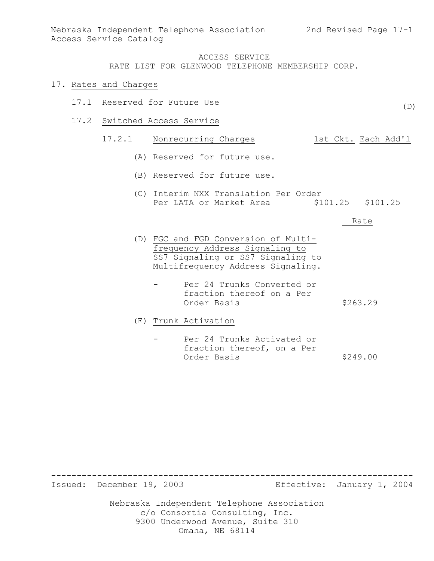#### 17. Rates and Charges

- 17.1 Reserved for Future Use
- 17.2 Switched Access Service

# 17.2.1 Nonrecurring Charges 1st Ckt. Each Add'l

- (A) Reserved for future use.
- (B) Reserved for future use.
- (C) Interim NXX Translation Per Order Per LATA or Market Area  $\overline{$}101.25$  \$101.25

Rate

- (D) FGC and FGD Conversion of Multifrequency Address Signaling to SS7 Signaling or SS7 Signaling to Multifrequency Address Signaling.
	- Per 24 Trunks Converted or fraction thereof on a Per Order Basis \$263.29
- (E) Trunk Activation
	- Per 24 Trunks Activated or fraction thereof, on a Per Order Basis \$249.00

Issued: December 19, 2003 Effective: January 1, 2004

-----------------------------------------------------------------------

Nebraska Independent Telephone Association c/o Consortia Consulting, Inc. 9300 Underwood Avenue, Suite 310 Omaha, NE 68114

 $(D)$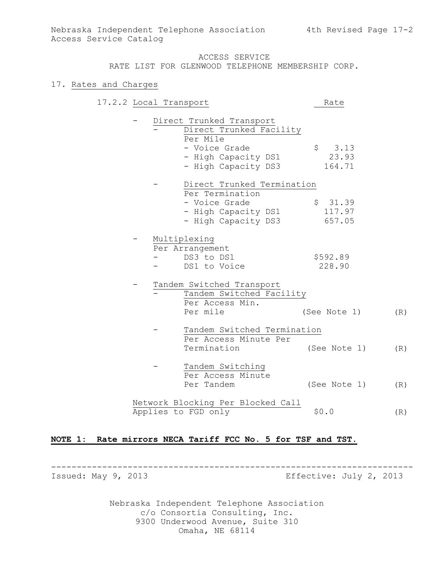## ACCESS SERVICE

RATE LIST FOR GLENWOOD TELEPHONE MEMBERSHIP CORP.

#### 17. Rates and Charges

| 17.2.2 Local Transport |  |                                   | Rate         |     |
|------------------------|--|-----------------------------------|--------------|-----|
|                        |  | Direct Trunked Transport          |              |     |
|                        |  | Direct Trunked Facility           |              |     |
|                        |  | Per Mile                          |              |     |
|                        |  | - Voice Grade                     | \$3.13       |     |
|                        |  | - High Capacity DS1               | 23.93        |     |
|                        |  | - High Capacity DS3               | 164.71       |     |
|                        |  | Direct Trunked Termination        |              |     |
|                        |  | Per Termination                   |              |     |
|                        |  | - Voice Grade                     | \$31.39      |     |
|                        |  | - High Capacity DS1               | 117.97       |     |
|                        |  | - High Capacity DS3               | 657.05       |     |
|                        |  | Multiplexing                      |              |     |
|                        |  | Per Arrangement                   |              |     |
|                        |  | DS3 to DS1                        | \$592.89     |     |
|                        |  | DS1 to Voice                      | 228.90       |     |
|                        |  | Tandem Switched Transport         |              |     |
|                        |  | Tandem Switched Facility          |              |     |
|                        |  | Per Access Min.                   |              |     |
|                        |  | Per mile                          | (See Note 1) | (R) |
|                        |  | Tandem Switched Termination       |              |     |
|                        |  | Per Access Minute Per             |              |     |
|                        |  | Termination                       | (See Note 1) | (R) |
|                        |  | Tandem Switching                  |              |     |
|                        |  | Per Access Minute                 |              |     |
|                        |  | Per Tandem                        | (See Note 1) | (R) |
|                        |  | Network Blocking Per Blocked Call |              |     |
|                        |  | Applies to FGD only               | \$0.0        | (R) |

## **NOTE 1: Rate mirrors NECA Tariff FCC No. 5 for TSF and TST.**

----------------------------------------------------------------------- Issued: May 9, 2013 **Example 2013** Effective: July 2, 2013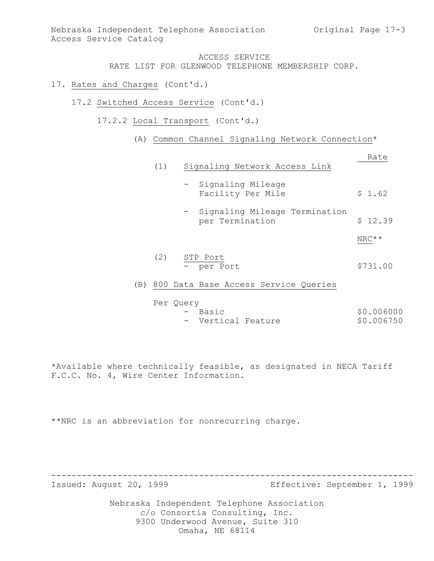## ACCESS SERVICE

RATE LIST FOR GLENWOOD TELEPHONE MEMBERSHIP CORP.

- 17. Rates and Charges (Cont'd.)
	- 17.2 Switched Access Service (Cont'd.)
		- 17.2.2 Local Transport (Cont'd.)
			- (A) Common Channel Signaling Network Connection\*

|     | (1) | Rate<br>Signaling Network Access Link            |          |  |
|-----|-----|--------------------------------------------------|----------|--|
|     |     | - Signaling Mileage<br>Facility Per Mile         | \$1.62   |  |
|     |     | Signaling Mileage Termination<br>per Termination | \$12.39  |  |
|     |     |                                                  | $NRC**$  |  |
|     | (2) | STP Port<br>- per Port                           | \$731.00 |  |
| (B) |     | 800 Data Base Access Service Queries             |          |  |

Per Query

- Basic \$0.006000 - Vertical Feature \$0.006750

\*Available where technically feasible, as designated in NECA Tariff F.C.C. No. 4, Wire Center Information.

\*\*NRC is an abbreviation for nonrecurring charge.

Issued: August 20, 1999 Effective: September 1, 1999

Nebraska Independent Telephone Association c/o Consortia Consulting, Inc. 9300 Underwood Avenue, Suite 310 Omaha, NE 68114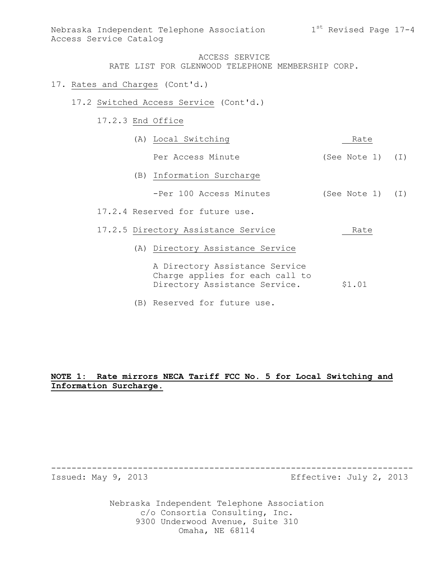#### 17. Rates and Charges (Cont'd.)

- 17.2 Switched Access Service (Cont'd.)
	- 17.2.3 End Office

| (A) Local Switching                                                                                | Rate               |  |  |
|----------------------------------------------------------------------------------------------------|--------------------|--|--|
| Per Access Minute                                                                                  | (See Note 1) (I)   |  |  |
| (B) Information Surcharge                                                                          |                    |  |  |
| -Per 100 Access Minutes                                                                            | (See Note $1)$ (I) |  |  |
| 17.2.4 Reserved for future use.                                                                    |                    |  |  |
| 17.2.5 Directory Assistance Service                                                                | Rate               |  |  |
| (A) Directory Assistance Service                                                                   |                    |  |  |
| A Directory Assistance Service<br>Charge applies for each call to<br>Directory Assistance Service. | \$1.01             |  |  |

(B) Reserved for future use.

## **NOTE 1: Rate mirrors NECA Tariff FCC No. 5 for Local Switching and Information Surcharge.**

Issued: May 9, 2013 Effective: July 2, 2013

Nebraska Independent Telephone Association c/o Consortia Consulting, Inc. 9300 Underwood Avenue, Suite 310 Omaha, NE 68114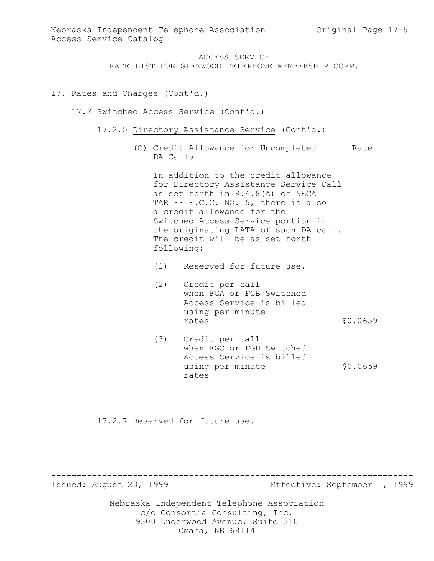## 17. Rates and Charges (Cont'd.)

#### 17.2 Switched Access Service (Cont'd.)

- 17.2.5 Directory Assistance Service (Cont'd.)
	- (C) Credit Allowance for Uncompleted Rate DA Calls

In addition to the credit allowance for Directory Assistance Service Call as set forth in 9.4.8(A) of NECA TARIFF F.C.C. NO. 5, there is also a credit allowance for the Switched Access Service portion in the originating LATA of such DA call. The credit will be as set forth following:

- (1) Reserved for future use.
- (2) Credit per call when FGA or FGB Switched Access Service is billed using per minute rates \$0.0659
- (3) Credit per call when FGC or FGD Switched Access Service is billed using per minute  $$0.0659$ rates

17.2.7 Reserved for future use.

Issued: August 20, 1999 Effective: September 1, 1999

Nebraska Independent Telephone Association c/o Consortia Consulting, Inc. 9300 Underwood Avenue, Suite 310 Omaha, NE 68114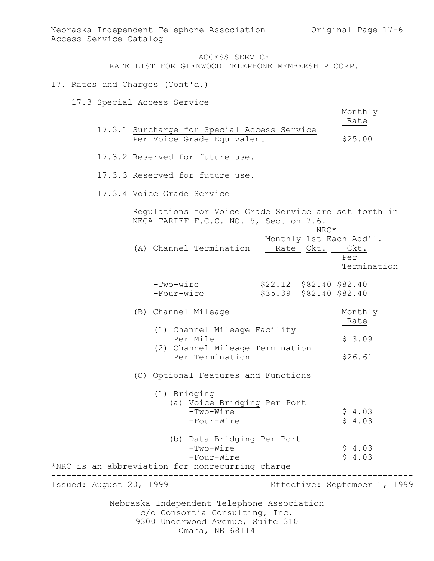#### 17. Rates and Charges (Cont'd.)

17.3 Special Access Service

Monthly

- Rate 17.3.1 Surcharge for Special Access Service Per Voice Grade Equivalent \$25.00
- 17.3.2 Reserved for future use.

17.3.3 Reserved for future use.

17.3.4 Voice Grade Service

Nebraska Independent Telephone Association c/o Consortia Consulting, Inc. 9300 Underwood Avenue, Suite 310 Omaha, NE 68114 Regulations for Voice Grade Service are set forth in NECA TARIFF F.C.C. NO. 5, Section 7.6. NRC\* Monthly 1st Each Add'l. (A) Channel Termination Rate Ckt. Ckt. Per Termination -Two-wire \$22.12 \$82.40 \$82.40 -Four-wire \$35.39 \$82.40 \$82.40 (B) Channel Mileage Monthly Rate (1) Channel Mileage Facility Per Mile  $$3.09$  (2) Channel Mileage Termination Per Termination \$26.61 (C) Optional Features and Functions (1) Bridging (a) Voice Bridging Per Port  $-Two-Wire$   $$4.03$  $-Four-Wire$   $$4.03$  (b) Data Bridging Per Port  $\frac{1}{-Two-Wire}$  \$ 4.03 -Four-Wire  $\qquad \qquad$  \$ 4.03 \*NRC is an abbreviation for nonrecurring charge ----------------------------------------------------------------------- Issued: August 20, 1999 Effective: September 1, 1999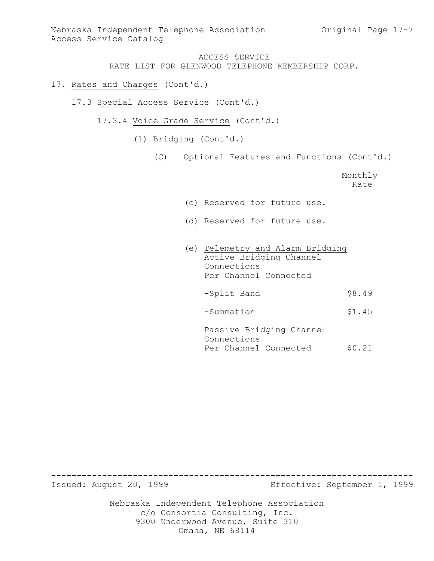- 17. Rates and Charges (Cont'd.)
	- 17.3 Special Access Service (Cont'd.)
		- 17.3.4 Voice Grade Service (Cont'd.)
			- (1) Bridging (Cont'd.)
				- (C) Optional Features and Functions (Cont'd.)

|                                                                                                     | Monthly<br>Rate |
|-----------------------------------------------------------------------------------------------------|-----------------|
| (c) Reserved for future use.                                                                        |                 |
| (d) Reserved for future use.                                                                        |                 |
| (e) Telemetry and Alarm Bridging<br>Active Bridging Channel<br>Connections<br>Per Channel Connected |                 |
| -Split Band                                                                                         | \$8.49          |
| -Summation                                                                                          | \$1.45          |
| Passive Bridging Channel<br>Connections<br>Per Channel Connected                                    | \$0.21          |

Issued: August 20, 1999 Effective: September 1, 1999

Nebraska Independent Telephone Association c/o Consortia Consulting, Inc. 9300 Underwood Avenue, Suite 310 Omaha, NE 68114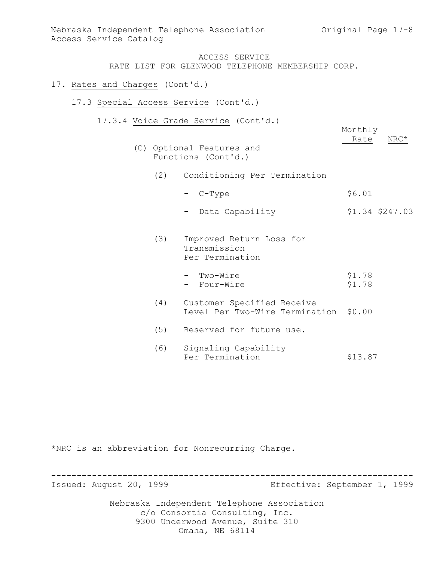Monthly

## ACCESS SERVICE RATE LIST FOR GLENWOOD TELEPHONE MEMBERSHIP CORP.

### 17. Rates and Charges (Cont'd.)

- 17.3 Special Access Service (Cont'd.)
	- 17.3.4 Voice Grade Service (Cont'd.)
		- Rate NRC\* (C) Optional Features and Functions (Cont'd.)
			- (2) Conditioning Per Termination
				- $-$  C-Type  $$6.01$
				- Data Capability \$1.34 \$247.03
			- (3) Improved Return Loss for Transmission Per Termination
				- Two-Wire  $$1.78$ - Four-Wire  $$1.78$
			- (4) Customer Specified Receive Level Per Two-Wire Termination \$0.00
			- (5) Reserved for future use.
			- (6) Signaling Capability Per Termination 513.87

\*NRC is an abbreviation for Nonrecurring Charge.

----------------------------------------------------------------------- Issued: August 20, 1999 Effective: September 1, 1999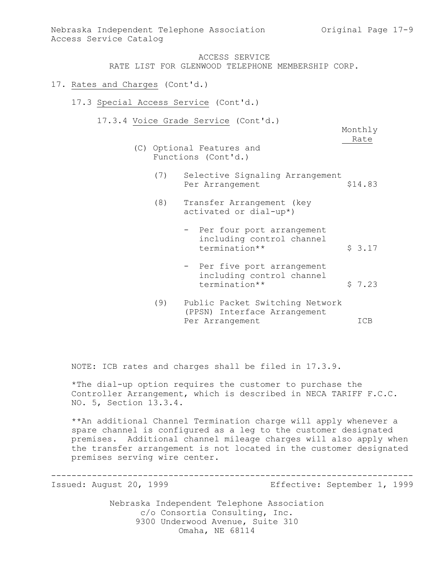- 17. Rates and Charges (Cont'd.)
	- 17.3 Special Access Service (Cont'd.)
		- 17.3.4 Voice Grade Service (Cont'd.)

Monthly Rate

- (C) Optional Features and Functions (Cont'd.)
	- (7) Selective Signaling Arrangement Per Arrangement \$14.83
	- (8) Transfer Arrangement (key activated or dial-up\*)
		- Per four port arrangement including control channel termination\*\* <br>\$ 3.17
		- Per five port arrangement including control channel termination\*\* <br>\$ 7.23
	- (9) Public Packet Switching Network (PPSN) Interface Arrangement Per Arrangement ICB

NOTE: ICB rates and charges shall be filed in 17.3.9.

\*The dial-up option requires the customer to purchase the Controller Arrangement, which is described in NECA TARIFF F.C.C. NO. 5, Section 13.3.4.

\*\*An additional Channel Termination charge will apply whenever a spare channel is configured as a leg to the customer designated premises. Additional channel mileage charges will also apply when the transfer arrangement is not located in the customer designated premises serving wire center.

-----------------------------------------------------------------------

Issued: August 20, 1999 Effective: September 1, 1999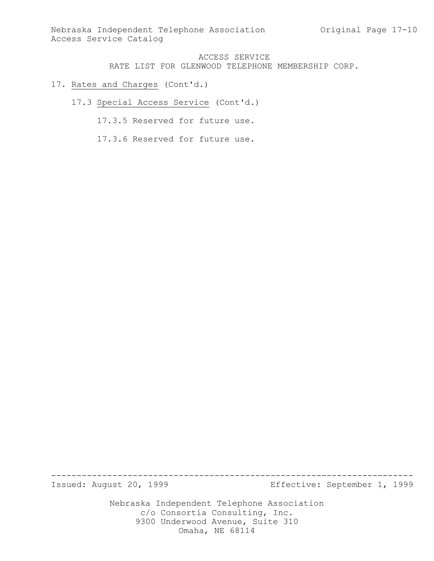## 17. Rates and Charges (Cont'd.)

- 17.3 Special Access Service (Cont'd.)
	- 17.3.5 Reserved for future use.
	- 17.3.6 Reserved for future use.

Issued: August 20, 1999 Effective: September 1, 1999

Nebraska Independent Telephone Association c/o Consortia Consulting, Inc. 9300 Underwood Avenue, Suite 310 Omaha, NE 68114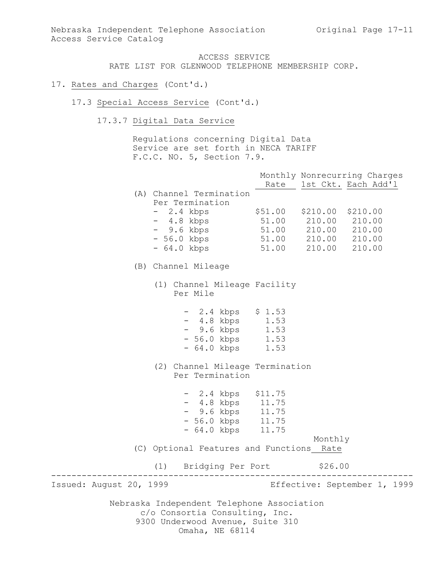## 17. Rates and Charges (Cont'd.)

- 17.3 Special Access Service (Cont'd.)
	- 17.3.7 Digital Data Service

Regulations concerning Digital Data Service are set forth in NECA TARIFF F.C.C. NO. 5, Section 7.9.

|                         |                                                                                                                  |           |                                                                                        | Monthly Nonrecurring Charges<br>Rate 1st Ckt. Each Add'l |
|-------------------------|------------------------------------------------------------------------------------------------------------------|-----------|----------------------------------------------------------------------------------------|----------------------------------------------------------|
|                         | (A) Channel Termination<br>Per Termination<br>$-2.4$ kbps<br>- 4.8 kbps<br>- 9.6 kbps<br>- 56.0 kbps             | \$51.00   | \$210.00 \$210.00<br>51.00 210.00 210.00<br>51.00 210.00 210.00<br>51.00 210.00 210.00 |                                                          |
|                         | - 64.0 kbps                                                                                                      |           | 51.00 210.00                                                                           | 210.00                                                   |
|                         | (B) Channel Mileage                                                                                              |           |                                                                                        |                                                          |
|                         | (1) Channel Mileage Facility<br>Per Mile                                                                         |           |                                                                                        |                                                          |
|                         | $-2.4$ kbps $$1.53$<br>- 4.8 kbps 1.53<br>- 9.6 kbps 1.53<br>- 56.0 kbps 1.53<br>- 64.0 kbps 1.53                |           |                                                                                        |                                                          |
|                         | (2) Channel Mileage Termination<br>Per Termination                                                               |           |                                                                                        |                                                          |
|                         | $-2.4$ kbps $$11.75$<br>$-4.8$ kbps $11.75$<br>- 9.6 kbps 11.75<br>- 56.0 kbps 11.75<br>- 64.0 kbps 11.75        |           |                                                                                        |                                                          |
|                         | (C) Optional Features and Functions Rate                                                                         |           | Monthly                                                                                |                                                          |
|                         | (1) Bridging Per Port \$26.00                                                                                    | _________ |                                                                                        |                                                          |
| Issued: August 20, 1999 |                                                                                                                  |           |                                                                                        | Effective: September 1, 1999                             |
|                         | Nebraska Independent Telephone Association<br>c/o Consortia Consulting, Inc.<br>9300 Underwood Avenue, Suite 310 |           |                                                                                        |                                                          |

Omaha, NE 68114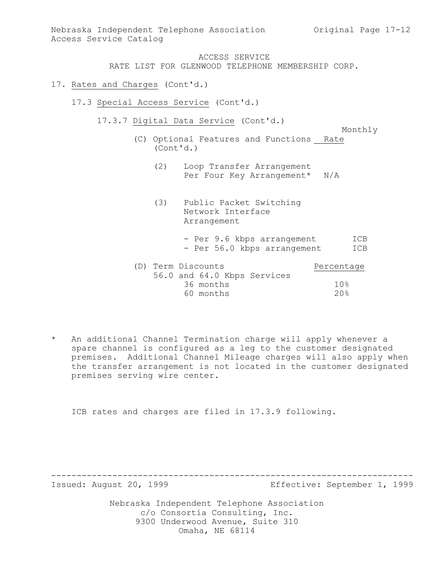Nebraska Independent Telephone Association (Original Page 17-12) Access Service Catalog

## ACCESS SERVICE

RATE LIST FOR GLENWOOD TELEPHONE MEMBERSHIP CORP.

- 17. Rates and Charges (Cont'd.)
	- 17.3 Special Access Service (Cont'd.)
		- 17.3.7 Digital Data Service (Cont'd.)
			- Monthly (C) Optional Features and Functions Rate (Cont'd.)
				- (2) Loop Transfer Arrangement Per Four Key Arrangement\* N/A
				- (3) Public Packet Switching Network Interface Arrangement
					- Per 9.6 kbps arrangement ICB - Per 56.0 kbps arrangement ICB

| (D) Term Discounts |           |                             | Percentage |
|--------------------|-----------|-----------------------------|------------|
|                    |           | 56.0 and 64.0 Kbps Services |            |
|                    | 36 months |                             | 10%        |
|                    | 60 months |                             | 20%        |

\* An additional Channel Termination charge will apply whenever a spare channel is configured as a leg to the customer designated premises. Additional Channel Mileage charges will also apply when the transfer arrangement is not located in the customer designated premises serving wire center.

ICB rates and charges are filed in 17.3.9 following.

Issued: August 20, 1999 Effective: September 1, 1999

Nebraska Independent Telephone Association c/o Consortia Consulting, Inc. 9300 Underwood Avenue, Suite 310 Omaha, NE 68114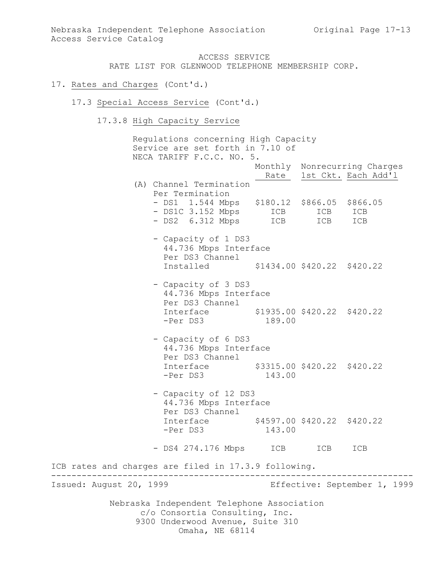#### 17. Rates and Charges (Cont'd.)

- 17.3 Special Access Service (Cont'd.)
	- 17.3.8 High Capacity Service

Nebraska Independent Telephone Association c/o Consortia Consulting, Inc. 9300 Underwood Avenue, Suite 310 Omaha, NE 68114 Regulations concerning High Capacity Service are set forth in 7.10 of NECA TARIFF F.C.C. NO. 5. Monthly Nonrecurring Charges Rate 1st Ckt. Each Add'l (A) Channel Termination Per Termination - DS1 1.544 Mbps \$180.12 \$866.05 \$866.05 - DS1C 3.152 Mbps ICB ICB ICB - DS2 6.312 Mbps ICB ICB ICB - Capacity of 1 DS3 44.736 Mbps Interface Per DS3 Channel Installed \$1434.00 \$420.22 \$420.22 - Capacity of 3 DS3 44.736 Mbps Interface Per DS3 Channel Interface \$1935.00 \$420.22 \$420.22 -Per DS3 189.00 - Capacity of 6 DS3 44.736 Mbps Interface Per DS3 Channel Interface \$3315.00 \$420.22 \$420.22 -Per DS3 143.00 - Capacity of 12 DS3 44.736 Mbps Interface Per DS3 Channel Interface \$4597.00 \$420.22 \$420.22 -Per DS3 143.00 - DS4 274.176 Mbps ICB ICB ICB ICB rates and charges are filed in 17.3.9 following. ----------------------------------------------------------------------- Issued: August 20, 1999 Effective: September 1, 1999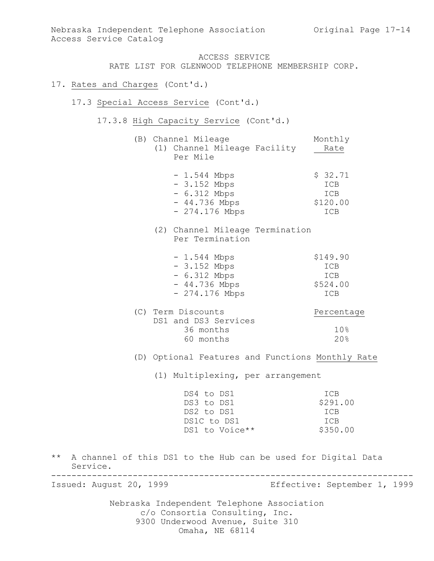Nebraska Independent Telephone Association Original Page 17-14 Access Service Catalog

## ACCESS SERVICE

RATE LIST FOR GLENWOOD TELEPHONE MEMBERSHIP CORP.

- 17. Rates and Charges (Cont'd.)
	- 17.3 Special Access Service (Cont'd.)
		- 17.3.8 High Capacity Service (Cont'd.)
			- (B) Channel Mileage Monthly (1) Channel Mileage Facility Rate Per Mile

| $-1.544$ Mbps   | \$32.71    |
|-----------------|------------|
| $-3.152$ Mbps   | ICB        |
| $-6.312$ Mbps   | ICB        |
| $-44.736$ Mbps  | \$120.00   |
| $-274.176$ Mbps | <b>TCB</b> |

(2) Channel Mileage Termination Per Termination

| $-1.544$ Mbps   | \$149.90   |
|-----------------|------------|
| $-3.152$ Mbps   | ICB        |
| $-6.312$ Mbps   | ICB        |
| $-44.736$ Mbps  | \$524.00   |
| $-274.176$ Mbps | <b>TCB</b> |

(C) Term Discounts Percentage DS1 and DS3 Services 36 months 10% 60 months 20%

(D) Optional Features and Functions Monthly Rate

(1) Multiplexing, per arrangement

| DS4 to DS1     | ICB      |
|----------------|----------|
| DS3 to DS1     | \$291.00 |
| DS2 to DS1     | TCB      |
| DS1C to DS1    | TCB      |
| DS1 to Voice** | \$350.00 |

\*\* A channel of this DS1 to the Hub can be used for Digital Data Service. -----------------------------------------------------------------------

Issued: August 20, 1999 Effective: September 1, 1999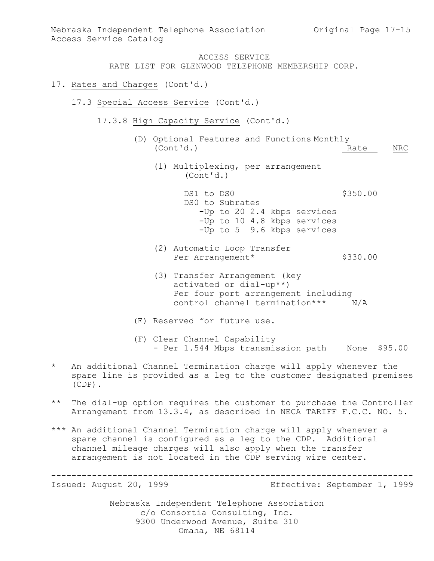## ACCESS SERVICE

RATE LIST FOR GLENWOOD TELEPHONE MEMBERSHIP CORP.

- 17. Rates and Charges (Cont'd.)
	- 17.3 Special Access Service (Cont'd.)
		- 17.3.8 High Capacity Service (Cont'd.)
			- (D) Optional Features and Functions Monthly (Cont'd.) Rate NRC
				- (1) Multiplexing, per arrangement (Cont'd.)

DS1 to DS0 \$350.00 DS0 to Subrates -Up to 20 2.4 kbps services -Up to 10 4.8 kbps services -Up to 5 9.6 kbps services

- (2) Automatic Loop Transfer Per Arrangement\* \$330.00
- (3) Transfer Arrangement (key activated or dial-up\*\*) Per four port arrangement including control channel termination\*\*\* N/A
- (E) Reserved for future use.
- (F) Clear Channel Capability - Per 1.544 Mbps transmission path Mone \$95.00
- \* An additional Channel Termination charge will apply whenever the spare line is provided as a leg to the customer designated premises (CDP).
- \*\* The dial-up option requires the customer to purchase the Controller Arrangement from 13.3.4, as described in NECA TARIFF F.C.C. NO. 5.
- \*\*\* An additional Channel Termination charge will apply whenever a spare channel is configured as a leg to the CDP. Additional channel mileage charges will also apply when the transfer arrangement is not located in the CDP serving wire center.

----------------------------------------------------------------------- Issued: August 20, 1999 Effective: September 1, 1999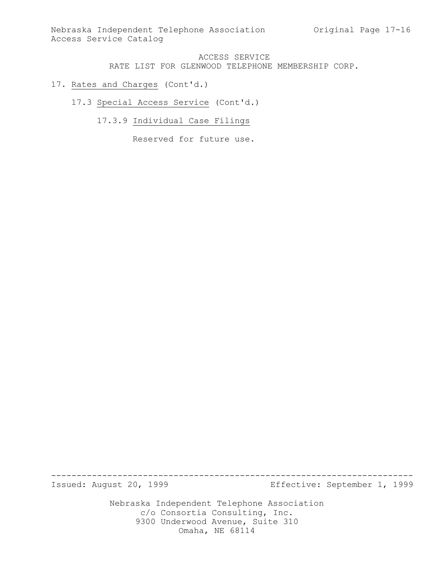Nebraska Independent Telephone Association Original Page 17-16 Access Service Catalog

## ACCESS SERVICE RATE LIST FOR GLENWOOD TELEPHONE MEMBERSHIP CORP.

## 17. Rates and Charges (Cont'd.)

17.3 Special Access Service (Cont'd.)

17.3.9 Individual Case Filings

Reserved for future use.

Issued: August 20, 1999 Effective: September 1, 1999

Nebraska Independent Telephone Association c/o Consortia Consulting, Inc. 9300 Underwood Avenue, Suite 310 Omaha, NE 68114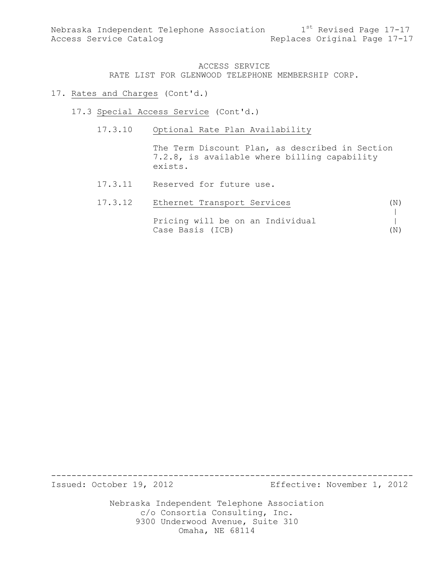#### 17. Rates and Charges (Cont'd.)

- 17.3 Special Access Service (Cont'd.)
	- 17.3.10 Optional Rate Plan Availability

The Term Discount Plan, as described in Section 7.2.8, is available where billing capability exists.

17.3.11 Reserved for future use.

| 17.3.12 | Ethernet Transport Services      | (N) |
|---------|----------------------------------|-----|
|         |                                  |     |
|         | Pricing will be on an Individual |     |
|         | Case Basis (ICB)                 | (N) |

Issued: October 19, 2012 Effective: November 1, 2012

Nebraska Independent Telephone Association c/o Consortia Consulting, Inc. 9300 Underwood Avenue, Suite 310 Omaha, NE 68114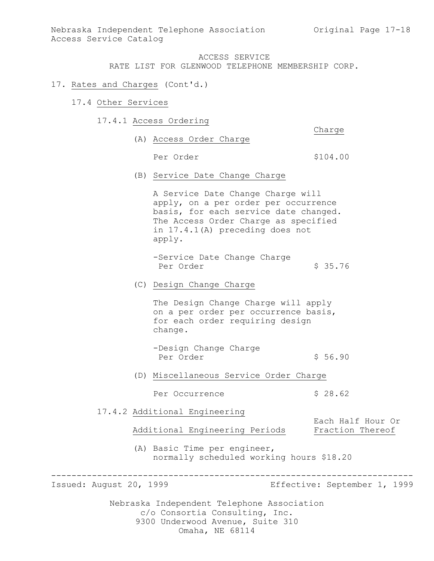Nebraska Independent Telephone Association (Original Page 17-18) Access Service Catalog

## ACCESS SERVICE

RATE LIST FOR GLENWOOD TELEPHONE MEMBERSHIP CORP.

## 17. Rates and Charges (Cont'd.)

- 17.4 Other Services
	- 17.4.1 Access Ordering

Charge (A) Access Order Charge Per Order  $$104.00$ 

(B) Service Date Change Charge

A Service Date Change Charge will apply, on a per order per occurrence basis, for each service date changed. The Access Order Charge as specified in 17.4.1(A) preceding does not apply.

-Service Date Change Charge Per Order  $\frac{1}{2}$  \$ 35.76

(C) Design Change Charge

The Design Change Charge will apply on a per order per occurrence basis, for each order requiring design change.

```
-Design Change Charge
Per Order $ 56.90
```
(D) Miscellaneous Service Order Charge

Per Occurrence \$ 28.62

17.4.2 Additional Engineering

Additional Engineering Periods Fraction Thereof

(A) Basic Time per engineer, normally scheduled working hours \$18.20

-----------------------------------------------------------------------

Issued: August 20, 1999 Effective: September 1, 1999

Each Half Hour Or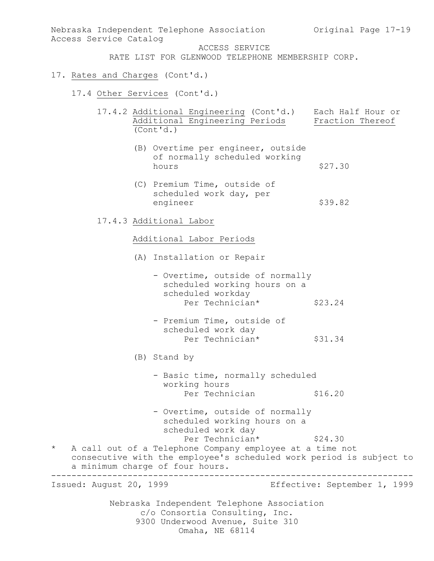Nebraska Independent Telephone Association c/o Consortia Consulting, Inc. Nebraska Independent Telephone Association (Original Page 17-19) Access Service Catalog ACCESS SERVICE RATE LIST FOR GLENWOOD TELEPHONE MEMBERSHIP CORP. 17. Rates and Charges (Cont'd.) 17.4 Other Services (Cont'd.) 17.4.2 Additional Engineering (Cont'd.) Each Half Hour or Additional Engineering Periods Fraction Thereof (Cont'd.) (B) Overtime per engineer, outside of normally scheduled working hours  $$27.30$ (C) Premium Time, outside of scheduled work day, per engineer \$39.82 17.4.3 Additional Labor Additional Labor Periods (A) Installation or Repair - Overtime, outside of normally scheduled working hours on a scheduled workday Per Technician\* \$23.24 - Premium Time, outside of scheduled work day Per Technician\* \$31.34 (B) Stand by - Basic time, normally scheduled working hours Per Technician \$16.20 - Overtime, outside of normally scheduled working hours on a scheduled work day Per Technician\* \$24.30 \* A call out of a Telephone Company employee at a time not consecutive with the employee's scheduled work period is subject to a minimum charge of four hours. ----------------------------------------------------------------------- Issued: August 20, 1999 Effective: September 1, 1999

9300 Underwood Avenue, Suite 310

Omaha, NE 68114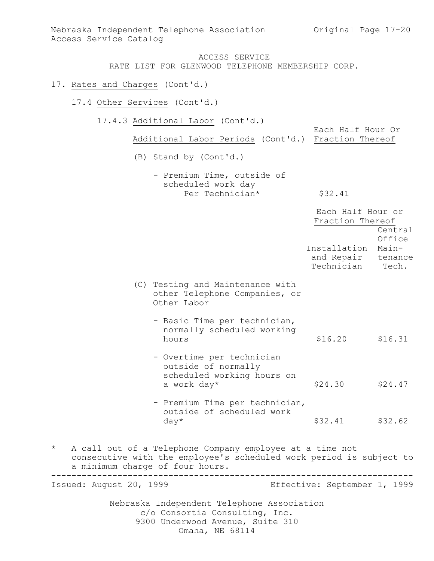Nebraska Independent Telephone Association Original Page 17-20 Access Service Catalog

## ACCESS SERVICE RATE LIST FOR GLENWOOD TELEPHONE MEMBERSHIP CORP.

#### 17. Rates and Charges (Cont'd.)

17.4 Other Services (Cont'd.)

17.4.3 Additional Labor (Cont'd.)

Each Half Hour Or Additional Labor Periods (Cont'd.) Fraction Thereof

(B) Stand by (Cont'd.)

- Premium Time, outside of scheduled work day Per Technician\* \$32.41

|          |                                                                                                                                                                    | Each Half Hour or<br>Fraction Thereof    | Central                             |
|----------|--------------------------------------------------------------------------------------------------------------------------------------------------------------------|------------------------------------------|-------------------------------------|
|          |                                                                                                                                                                    | Installation<br>and Repair<br>Technician | Office<br>Main-<br>tenance<br>Tech. |
|          | (C) Testing and Maintenance with<br>other Telephone Companies, or<br>Other Labor                                                                                   |                                          |                                     |
|          | - Basic Time per technician,<br>normally scheduled working<br>hours                                                                                                | \$16.20                                  | \$16.31                             |
|          | - Overtime per technician<br>outside of normally<br>scheduled working hours on<br>a work day*                                                                      | \$24.30                                  | \$24.47                             |
|          | - Premium Time per technician,<br>outside of scheduled work<br>$day*$                                                                                              | \$32.41                                  | \$32.62                             |
| $^\star$ | A call out of a Telephone Company employee at a time not<br>consecutive with the employee's scheduled work period is subject to<br>a minimum charge of four hours. |                                          |                                     |

Nebraska Independent Telephone Association ----------------------------------------------------------------------- Issued: August 20, 1999 Effective: September 1, 1999

c/o Consortia Consulting, Inc. 9300 Underwood Avenue, Suite 310

Omaha, NE 68114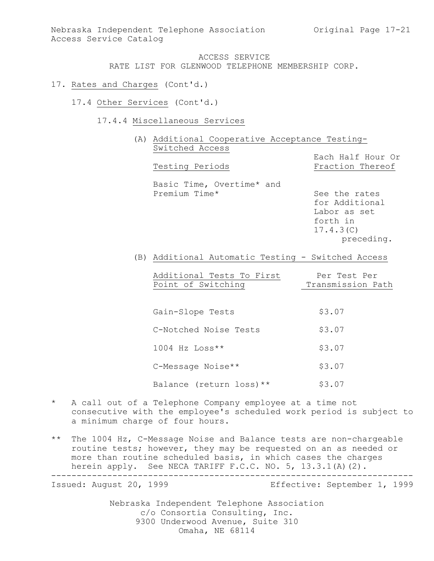- 17. Rates and Charges (Cont'd.)
	- 17.4 Other Services (Cont'd.)
		- 17.4.4 Miscellaneous Services

(A) Additional Cooperative Acceptance Testing-Switched Access Each Half Hour Or Testing Periods Fraction Thereof Basic Time, Overtime\* and Premium Time\* See the rates for Additional

Labor as set forth in 17.4.3(C) preceding.

(B) Additional Automatic Testing - Switched Access

| Additional Tests To First | Per Test Per      |
|---------------------------|-------------------|
| Point of Switching        | Transmission Path |
|                           |                   |

Gain-Slope Tests \$3.07 C-Notched Noise Tests \$3.07  $1004$  Hz  $Loss**$  \$3.07 C-Message Noise\*\* \$3.07 Balance (return loss) \*\* \$3.07

- \* A call out of a Telephone Company employee at a time not consecutive with the employee's scheduled work period is subject to a minimum charge of four hours.
- \*\* The 1004 Hz, C-Message Noise and Balance tests are non-chargeable routine tests; however, they may be requested on an as needed or more than routine scheduled basis, in which cases the charges herein apply. See NECA TARIFF F.C.C. NO. 5, 13.3.1(A)(2). -----------------------------------------------------------------------

Issued: August 20, 1999 Effective: September 1, 1999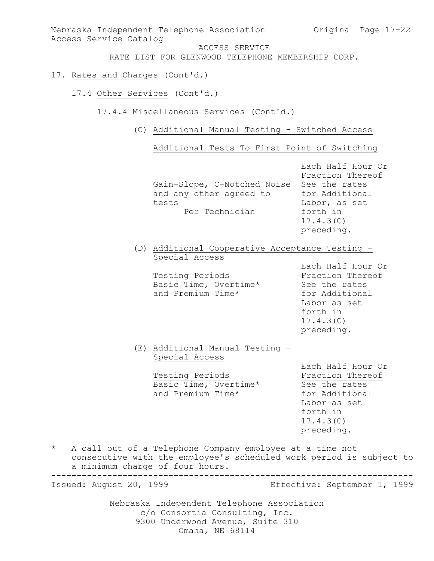Nebraska Independent Telephone Association (Original Page 17-22) Access Service Catalog ACCESS SERVICE RATE LIST FOR GLENWOOD TELEPHONE MEMBERSHIP CORP. 17. Rates and Charges (Cont'd.) 17.4 Other Services (Cont'd.) 17.4.4 Miscellaneous Services (Cont'd.) (C) Additional Manual Testing - Switched Access Additional Tests To First Point of Switching Each Half Hour Or Fraction Thereof Gain-Slope, C-Notched Noise See the rates and any other agreed to for Additional tests Labor, as set Per Technician forth in 17.4.3(C) preceding. (D) Additional Cooperative Acceptance Testing - Special Access Each Half Hour Or Testing Periods **Fraction** Thereof Basic Time, Overtime\* See the rates and Premium Time\* for Additional Labor as set forth in 17.4.3(C) preceding. (E) Additional Manual Testing - Special Access Each Half Hour Or Testing Periods **Fraction** Thereof Basic Time, Overtime\* See the rates and Premium Time\* for Additional Labor as set forth in 17.4.3(C) preceding. \* A call out of a Telephone Company employee at a time not consecutive with the employee's scheduled work period is subject to a minimum charge of four hours. ----------------------------------------------------------------------- Issued: August 20, 1999 Effective: September 1, 1999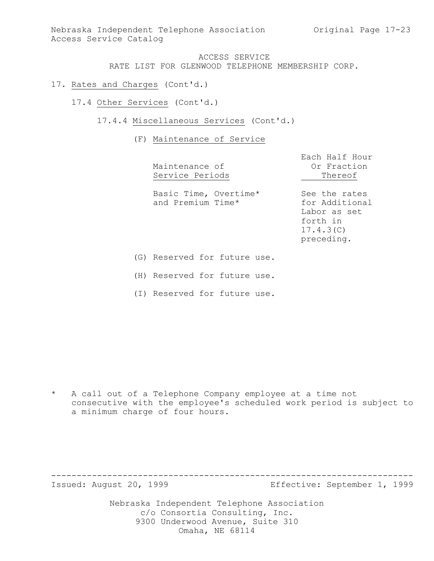Nebraska Independent Telephone Association (Original Page 17-23) Access Service Catalog

### ACCESS SERVICE RATE LIST FOR GLENWOOD TELEPHONE MEMBERSHIP CORP.

- 17. Rates and Charges (Cont'd.)
	- 17.4 Other Services (Cont'd.)
		- 17.4.4 Miscellaneous Services (Cont'd.)

(F) Maintenance of Service

|     | Maintenance of<br>Service Periods          | Each Half Hour<br>Or Fraction<br>Thereof                                               |
|-----|--------------------------------------------|----------------------------------------------------------------------------------------|
|     | Basic Time, Overtime*<br>and Premium Time* | See the rates<br>for Additional<br>Labor as set<br>forth in<br>17.4.3(C)<br>preceding. |
| (G) | Reserved for future use.                   |                                                                                        |

(H) Reserved for future use.

(I) Reserved for future use.

\* A call out of a Telephone Company employee at a time not consecutive with the employee's scheduled work period is subject to a minimum charge of four hours.

Issued: August 20, 1999 Effective: September 1, 1999

Nebraska Independent Telephone Association c/o Consortia Consulting, Inc. 9300 Underwood Avenue, Suite 310 Omaha, NE 68114